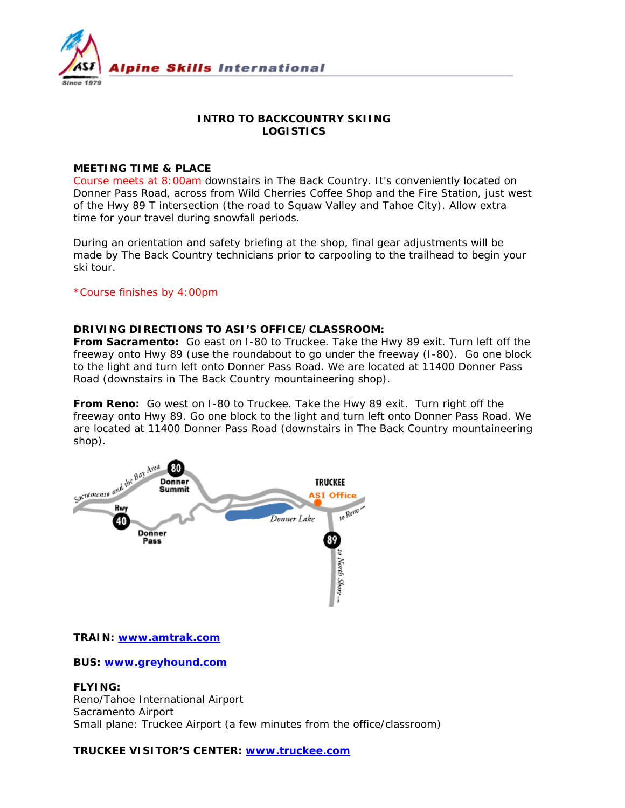

# **INTRO TO BACKCOUNTRY SKIING LOGISTICS**

# **MEETING TIME & PLACE**

Course meets at 8:00am downstairs in The Back Country. It's conveniently located on Donner Pass Road, across from Wild Cherries Coffee Shop and the Fire Station, just west of the Hwy 89 T intersection (the road to Squaw Valley and Tahoe City). Allow extra time for your travel during snowfall periods.

During an orientation and safety briefing at the shop, final gear adjustments will be made by The Back Country technicians prior to carpooling to the trailhead to begin your ski tour.

### \*Course finishes by 4:00pm

### **DRIVING DIRECTIONS TO ASI'S OFFICE/CLASSROOM:**

**From Sacramento:** Go east on I-80 to Truckee. Take the Hwy 89 exit. Turn left off the freeway onto Hwy 89 (use the roundabout to go under the freeway (I-80). Go one block to the light and turn left onto Donner Pass Road. We are located at 11400 Donner Pass Road (downstairs in The Back Country mountaineering shop).

**From Reno:** Go west on I-80 to Truckee. Take the Hwy 89 exit. Turn right off the freeway onto Hwy 89. Go one block to the light and turn left onto Donner Pass Road. We are located at 11400 Donner Pass Road (downstairs in The Back Country mountaineering shop).



#### **TRAIN: www.amtrak.com**

**BUS: www.greyhound.com**

**FLYING:**  Reno/Tahoe International Airport Sacramento Airport Small plane: Truckee Airport (a few minutes from the office/classroom)

**TRUCKEE VISITOR'S CENTER: www.truckee.com**